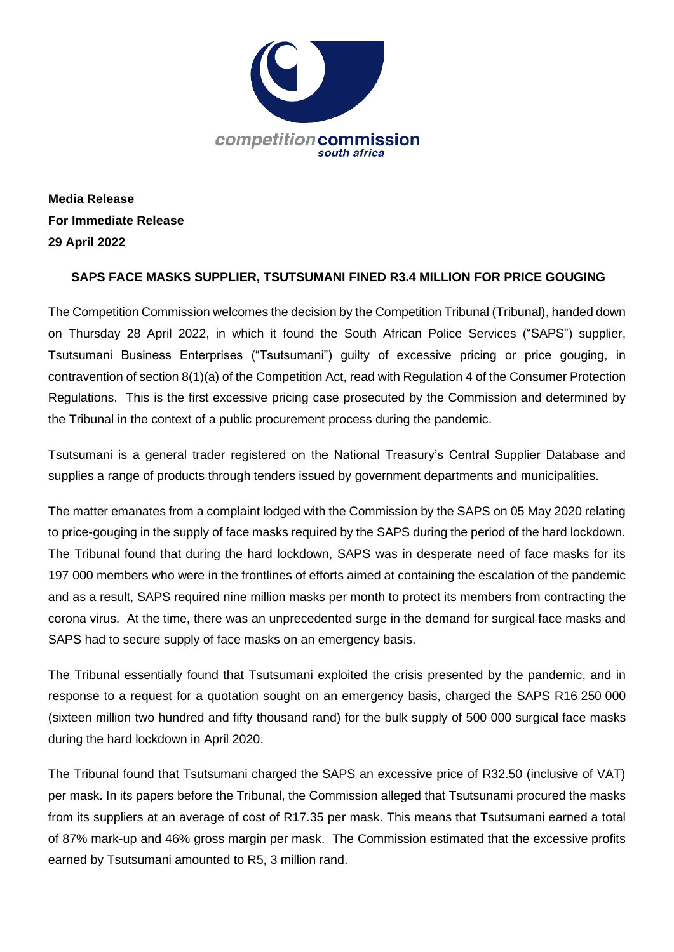

**Media Release For Immediate Release 29 April 2022**

## **SAPS FACE MASKS SUPPLIER, TSUTSUMANI FINED R3.4 MILLION FOR PRICE GOUGING**

The Competition Commission welcomes the decision by the Competition Tribunal (Tribunal), handed down on Thursday 28 April 2022, in which it found the South African Police Services ("SAPS") supplier, Tsutsumani Business Enterprises ("Tsutsumani") guilty of excessive pricing or price gouging, in contravention of section 8(1)(a) of the Competition Act, read with Regulation 4 of the Consumer Protection Regulations. This is the first excessive pricing case prosecuted by the Commission and determined by the Tribunal in the context of a public procurement process during the pandemic.

Tsutsumani is a general trader registered on the National Treasury's Central Supplier Database and supplies a range of products through tenders issued by government departments and municipalities.

The matter emanates from a complaint lodged with the Commission by the SAPS on 05 May 2020 relating to price-gouging in the supply of face masks required by the SAPS during the period of the hard lockdown. The Tribunal found that during the hard lockdown, SAPS was in desperate need of face masks for its 197 000 members who were in the frontlines of efforts aimed at containing the escalation of the pandemic and as a result, SAPS required nine million masks per month to protect its members from contracting the corona virus. At the time, there was an unprecedented surge in the demand for surgical face masks and SAPS had to secure supply of face masks on an emergency basis.

The Tribunal essentially found that Tsutsumani exploited the crisis presented by the pandemic, and in response to a request for a quotation sought on an emergency basis, charged the SAPS R16 250 000 (sixteen million two hundred and fifty thousand rand) for the bulk supply of 500 000 surgical face masks during the hard lockdown in April 2020.

The Tribunal found that Tsutsumani charged the SAPS an excessive price of R32.50 (inclusive of VAT) per mask. In its papers before the Tribunal, the Commission alleged that Tsutsunami procured the masks from its suppliers at an average of cost of R17.35 per mask. This means that Tsutsumani earned a total of 87% mark-up and 46% gross margin per mask. The Commission estimated that the excessive profits earned by Tsutsumani amounted to R5, 3 million rand.